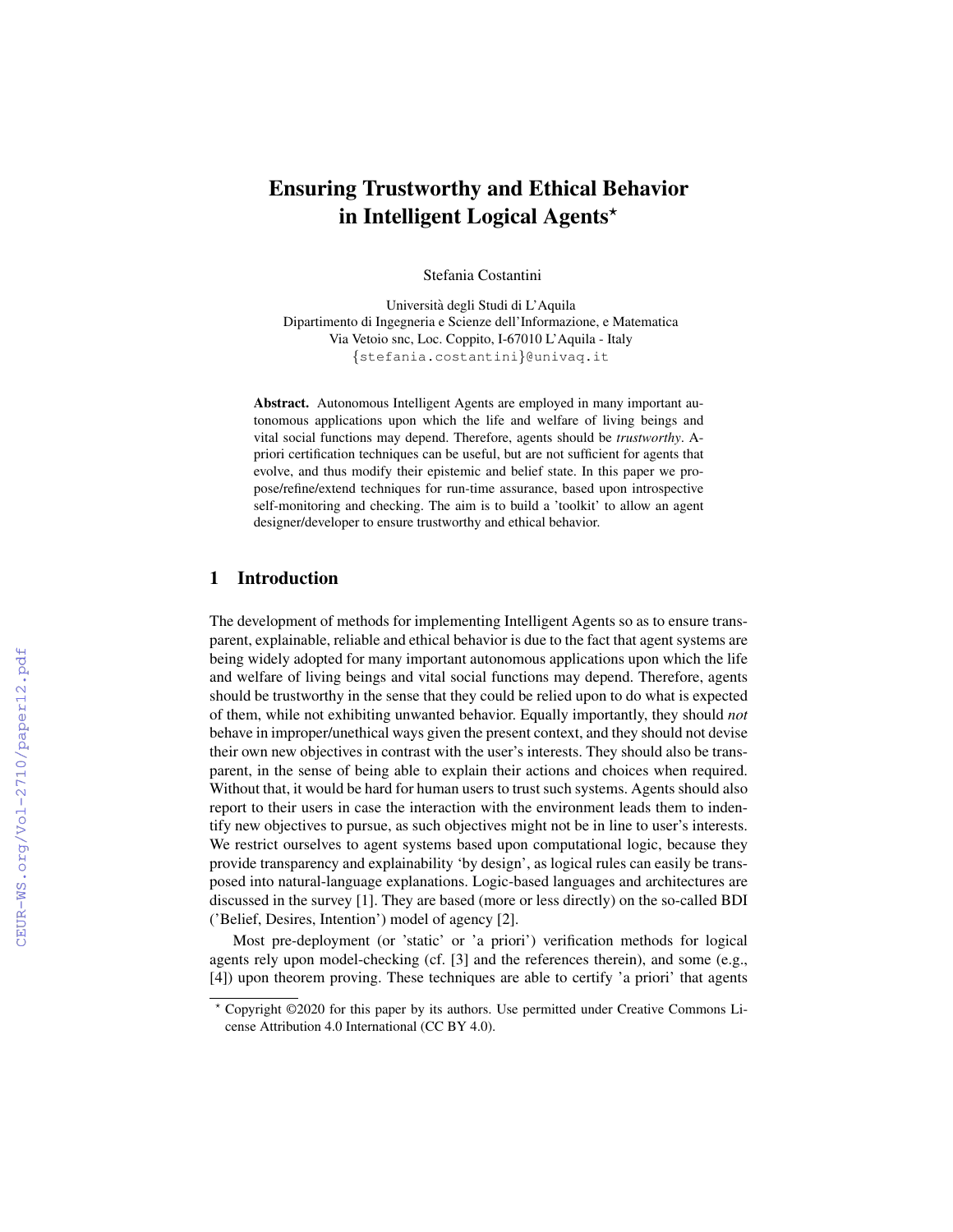# Ensuring Trustworthy and Ethical Behavior in Intelligent Logical Agents\*

Stefania Costantini

Universita degli Studi di L'Aquila ` Dipartimento di Ingegneria e Scienze dell'Informazione, e Matematica Via Vetoio snc, Loc. Coppito, I-67010 L'Aquila - Italy {stefania.costantini}@univaq.it

Abstract. Autonomous Intelligent Agents are employed in many important autonomous applications upon which the life and welfare of living beings and vital social functions may depend. Therefore, agents should be *trustworthy*. Apriori certification techniques can be useful, but are not sufficient for agents that evolve, and thus modify their epistemic and belief state. In this paper we propose/refine/extend techniques for run-time assurance, based upon introspective self-monitoring and checking. The aim is to build a 'toolkit' to allow an agent designer/developer to ensure trustworthy and ethical behavior.

## 1 Introduction

The development of methods for implementing Intelligent Agents so as to ensure transparent, explainable, reliable and ethical behavior is due to the fact that agent systems are being widely adopted for many important autonomous applications upon which the life and welfare of living beings and vital social functions may depend. Therefore, agents should be trustworthy in the sense that they could be relied upon to do what is expected of them, while not exhibiting unwanted behavior. Equally importantly, they should *not* behave in improper/unethical ways given the present context, and they should not devise their own new objectives in contrast with the user's interests. They should also be transparent, in the sense of being able to explain their actions and choices when required. Without that, it would be hard for human users to trust such systems. Agents should also report to their users in case the interaction with the environment leads them to indentify new objectives to pursue, as such objectives might not be in line to user's interests. We restrict ourselves to agent systems based upon computational logic, because they provide transparency and explainability 'by design', as logical rules can easily be transposed into natural-language explanations. Logic-based languages and architectures are discussed in the survey [1]. They are based (more or less directly) on the so-called BDI ('Belief, Desires, Intention') model of agency [2].

Most pre-deployment (or 'static' or 'a priori') verification methods for logical agents rely upon model-checking (cf. [3] and the references therein), and some (e.g., [4]) upon theorem proving. These techniques are able to certify 'a priori' that agents

<sup>?</sup> Copyright ©2020 for this paper by its authors. Use permitted under Creative Commons License Attribution 4.0 International (CC BY 4.0).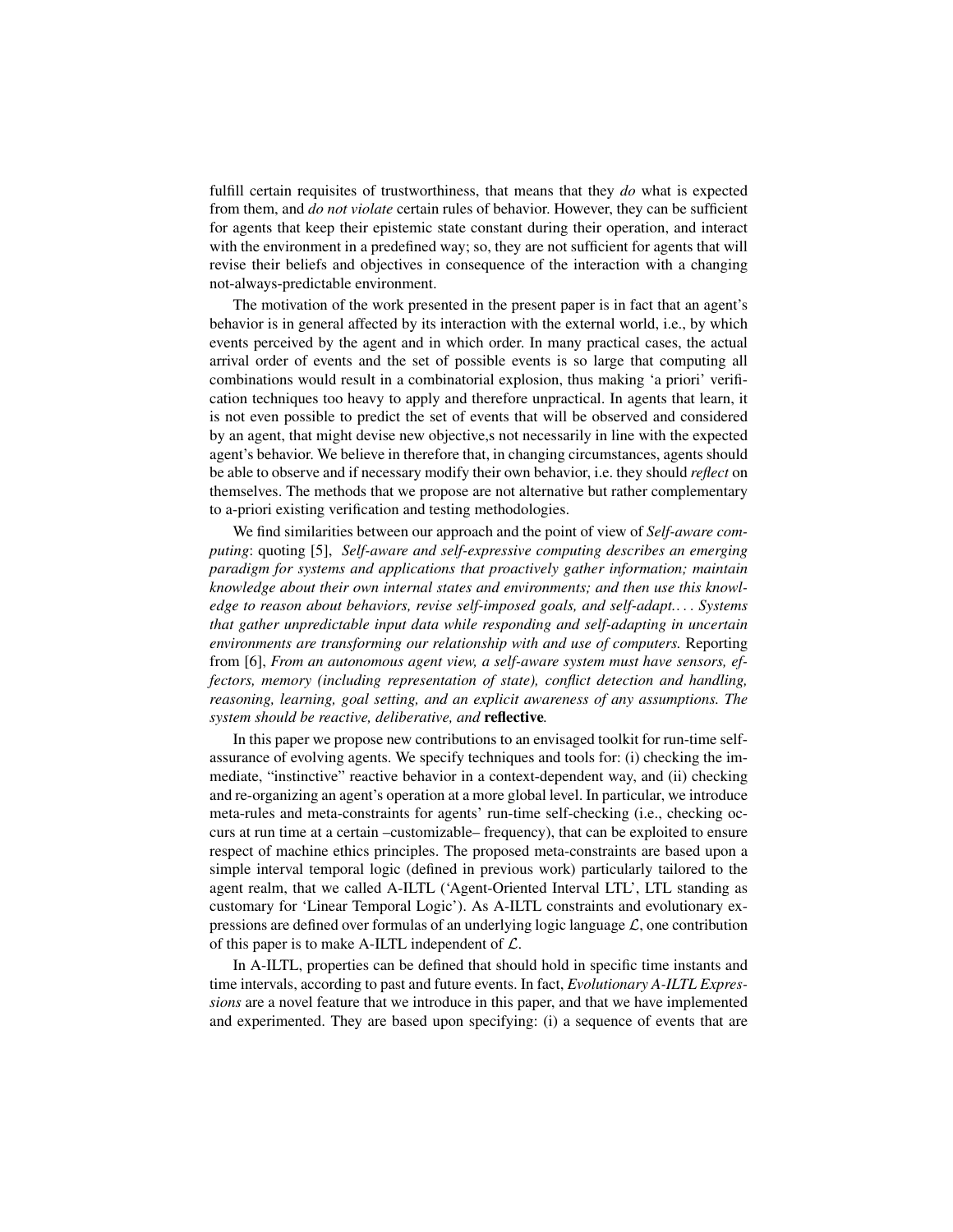fulfill certain requisites of trustworthiness, that means that they *do* what is expected from them, and *do not violate* certain rules of behavior. However, they can be sufficient for agents that keep their epistemic state constant during their operation, and interact with the environment in a predefined way; so, they are not sufficient for agents that will revise their beliefs and objectives in consequence of the interaction with a changing not-always-predictable environment.

The motivation of the work presented in the present paper is in fact that an agent's behavior is in general affected by its interaction with the external world, i.e., by which events perceived by the agent and in which order. In many practical cases, the actual arrival order of events and the set of possible events is so large that computing all combinations would result in a combinatorial explosion, thus making 'a priori' verification techniques too heavy to apply and therefore unpractical. In agents that learn, it is not even possible to predict the set of events that will be observed and considered by an agent, that might devise new objective,s not necessarily in line with the expected agent's behavior. We believe in therefore that, in changing circumstances, agents should be able to observe and if necessary modify their own behavior, i.e. they should *reflect* on themselves. The methods that we propose are not alternative but rather complementary to a-priori existing verification and testing methodologies.

We find similarities between our approach and the point of view of *Self-aware computing*: quoting [5], *Self-aware and self-expressive computing describes an emerging paradigm for systems and applications that proactively gather information; maintain knowledge about their own internal states and environments; and then use this knowledge to reason about behaviors, revise self-imposed goals, and self-adapt.*. . . *Systems that gather unpredictable input data while responding and self-adapting in uncertain environments are transforming our relationship with and use of computers.* Reporting from [6], *From an autonomous agent view, a self-aware system must have sensors, effectors, memory (including representation of state), conflict detection and handling, reasoning, learning, goal setting, and an explicit awareness of any assumptions. The system should be reactive, deliberative, and* reflective*.*

In this paper we propose new contributions to an envisaged toolkit for run-time selfassurance of evolving agents. We specify techniques and tools for: (i) checking the immediate, "instinctive" reactive behavior in a context-dependent way, and (ii) checking and re-organizing an agent's operation at a more global level. In particular, we introduce meta-rules and meta-constraints for agents' run-time self-checking (i.e., checking occurs at run time at a certain –customizable– frequency), that can be exploited to ensure respect of machine ethics principles. The proposed meta-constraints are based upon a simple interval temporal logic (defined in previous work) particularly tailored to the agent realm, that we called A-ILTL ('Agent-Oriented Interval LTL', LTL standing as customary for 'Linear Temporal Logic'). As A-ILTL constraints and evolutionary expressions are defined over formulas of an underlying logic language  $\mathcal{L}$ , one contribution of this paper is to make A-ILTL independent of  $\mathcal{L}$ .

In A-ILTL, properties can be defined that should hold in specific time instants and time intervals, according to past and future events. In fact, *Evolutionary A-ILTL Expressions* are a novel feature that we introduce in this paper, and that we have implemented and experimented. They are based upon specifying: (i) a sequence of events that are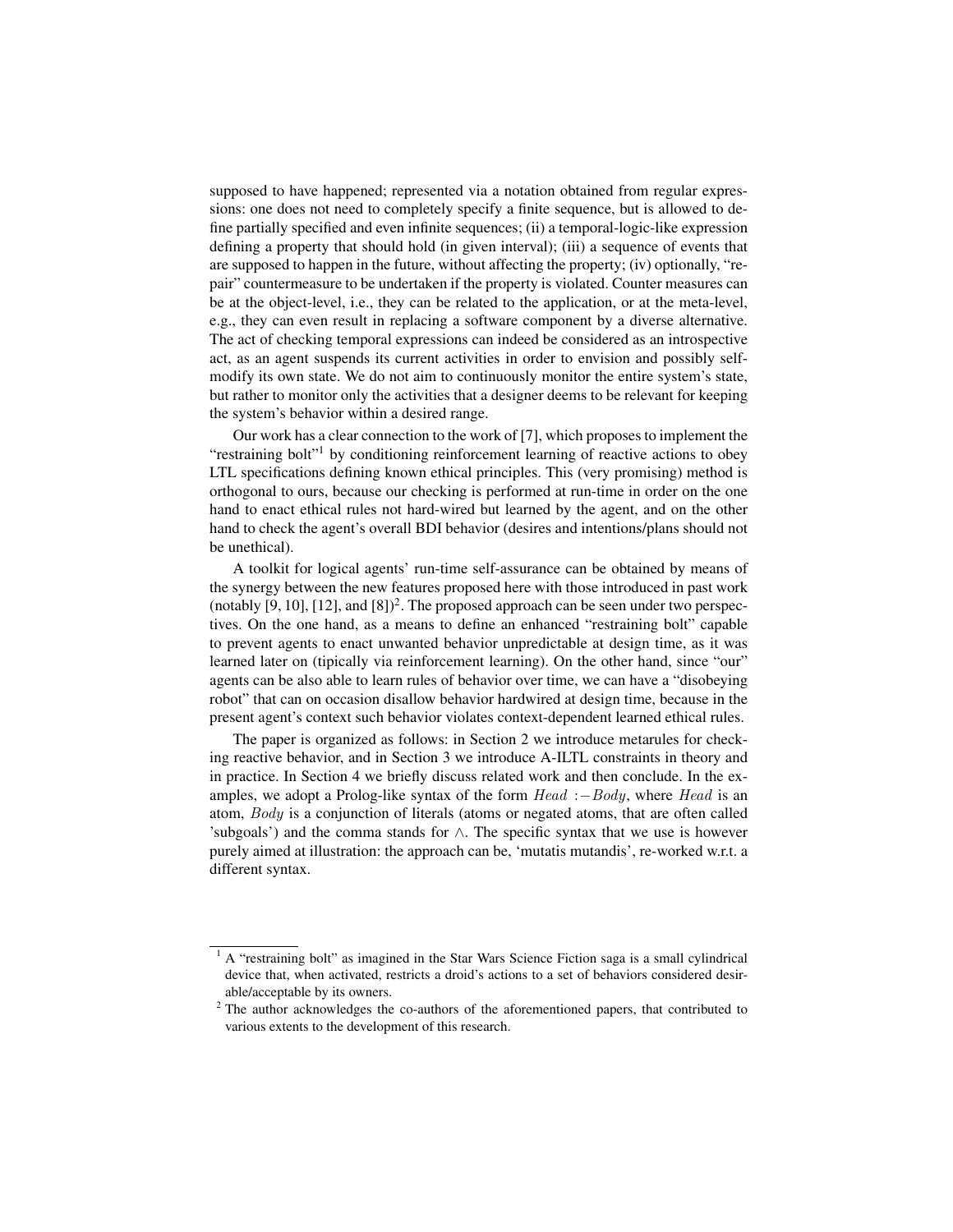supposed to have happened; represented via a notation obtained from regular expressions: one does not need to completely specify a finite sequence, but is allowed to define partially specified and even infinite sequences; (ii) a temporal-logic-like expression defining a property that should hold (in given interval); (iii) a sequence of events that are supposed to happen in the future, without affecting the property; (iv) optionally, "repair" countermeasure to be undertaken if the property is violated. Counter measures can be at the object-level, i.e., they can be related to the application, or at the meta-level, e.g., they can even result in replacing a software component by a diverse alternative. The act of checking temporal expressions can indeed be considered as an introspective act, as an agent suspends its current activities in order to envision and possibly selfmodify its own state. We do not aim to continuously monitor the entire system's state, but rather to monitor only the activities that a designer deems to be relevant for keeping the system's behavior within a desired range.

Our work has a clear connection to the work of [7], which proposes to implement the "restraining bolt"<sup>1</sup> by conditioning reinforcement learning of reactive actions to obey LTL specifications defining known ethical principles. This (very promising) method is orthogonal to ours, because our checking is performed at run-time in order on the one hand to enact ethical rules not hard-wired but learned by the agent, and on the other hand to check the agent's overall BDI behavior (desires and intentions/plans should not be unethical).

A toolkit for logical agents' run-time self-assurance can be obtained by means of the synergy between the new features proposed here with those introduced in past work (notably  $[9, 10]$ ,  $[12]$ , and  $[8]$ <sup>2</sup>. The proposed approach can be seen under two perspectives. On the one hand, as a means to define an enhanced "restraining bolt" capable to prevent agents to enact unwanted behavior unpredictable at design time, as it was learned later on (tipically via reinforcement learning). On the other hand, since "our" agents can be also able to learn rules of behavior over time, we can have a "disobeying robot" that can on occasion disallow behavior hardwired at design time, because in the present agent's context such behavior violates context-dependent learned ethical rules.

The paper is organized as follows: in Section 2 we introduce metarules for checking reactive behavior, and in Section 3 we introduce A-ILTL constraints in theory and in practice. In Section 4 we briefly discuss related work and then conclude. In the examples, we adopt a Prolog-like syntax of the form  $Head : -Body$ , where Head is an atom, Body is a conjunction of literals (atoms or negated atoms, that are often called 'subgoals') and the comma stands for  $\wedge$ . The specific syntax that we use is however purely aimed at illustration: the approach can be, 'mutatis mutandis', re-worked w.r.t. a different syntax.

 $1 A$  "restraining bolt" as imagined in the Star Wars Science Fiction saga is a small cylindrical device that, when activated, restricts a droid's actions to a set of behaviors considered desirable/acceptable by its owners.

 $2$  The author acknowledges the co-authors of the aforementioned papers, that contributed to various extents to the development of this research.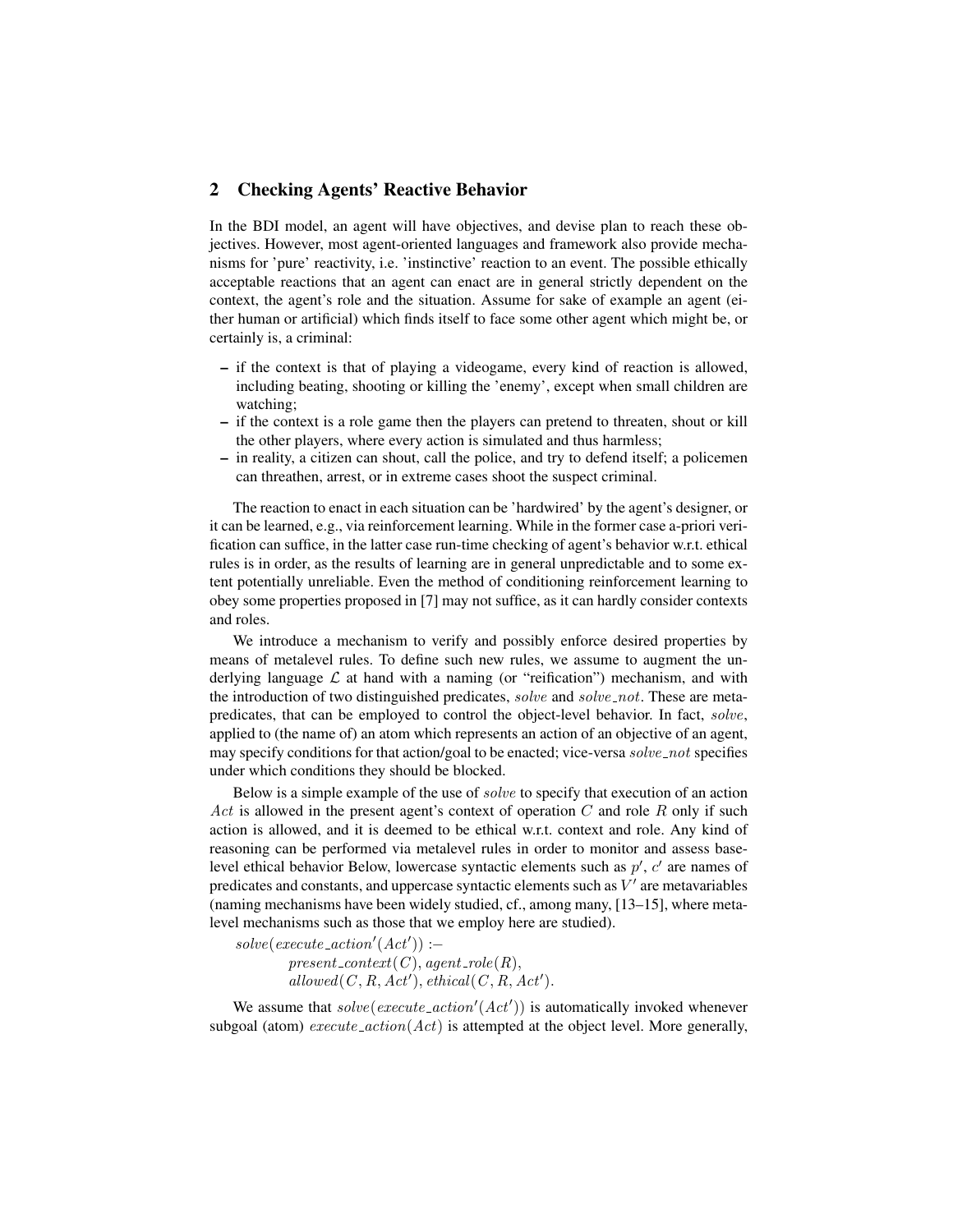# 2 Checking Agents' Reactive Behavior

In the BDI model, an agent will have objectives, and devise plan to reach these objectives. However, most agent-oriented languages and framework also provide mechanisms for 'pure' reactivity, i.e. 'instinctive' reaction to an event. The possible ethically acceptable reactions that an agent can enact are in general strictly dependent on the context, the agent's role and the situation. Assume for sake of example an agent (either human or artificial) which finds itself to face some other agent which might be, or certainly is, a criminal:

- if the context is that of playing a videogame, every kind of reaction is allowed, including beating, shooting or killing the 'enemy', except when small children are watching;
- if the context is a role game then the players can pretend to threaten, shout or kill the other players, where every action is simulated and thus harmless;
- in reality, a citizen can shout, call the police, and try to defend itself; a policemen can threathen, arrest, or in extreme cases shoot the suspect criminal.

The reaction to enact in each situation can be 'hardwired' by the agent's designer, or it can be learned, e.g., via reinforcement learning. While in the former case a-priori verification can suffice, in the latter case run-time checking of agent's behavior w.r.t. ethical rules is in order, as the results of learning are in general unpredictable and to some extent potentially unreliable. Even the method of conditioning reinforcement learning to obey some properties proposed in [7] may not suffice, as it can hardly consider contexts and roles.

We introduce a mechanism to verify and possibly enforce desired properties by means of metalevel rules. To define such new rules, we assume to augment the underlying language  $\mathcal L$  at hand with a naming (or "reification") mechanism, and with the introduction of two distinguished predicates, *solve* and *solve\_not*. These are metapredicates, that can be employed to control the object-level behavior. In fact, solve, applied to (the name of) an atom which represents an action of an objective of an agent, may specify conditions for that action/goal to be enacted; vice-versa solve\_not specifies under which conditions they should be blocked.

Below is a simple example of the use of solve to specify that execution of an action Act is allowed in the present agent's context of operation  $C$  and role  $R$  only if such action is allowed, and it is deemed to be ethical w.r.t. context and role. Any kind of reasoning can be performed via metalevel rules in order to monitor and assess baselevel ethical behavior Below, lowercase syntactic elements such as  $p'$ ,  $c'$  are names of predicates and constants, and uppercase syntactic elements such as  $V'$  are metavariables (naming mechanisms have been widely studied, cf., among many, [13–15], where metalevel mechanisms such as those that we employ here are studied).

 $solve(execute\_action'(Act')) :=$  $present\_context(C), agent\_role(R),$  $allowed(C, R, Act'), ethical(C, R, Act').$ 

We assume that  $solve(execute\_action'(Act'))$  is automatically invoked whenever subgoal (atom)  $execute\_action(Act)$  is attempted at the object level. More generally,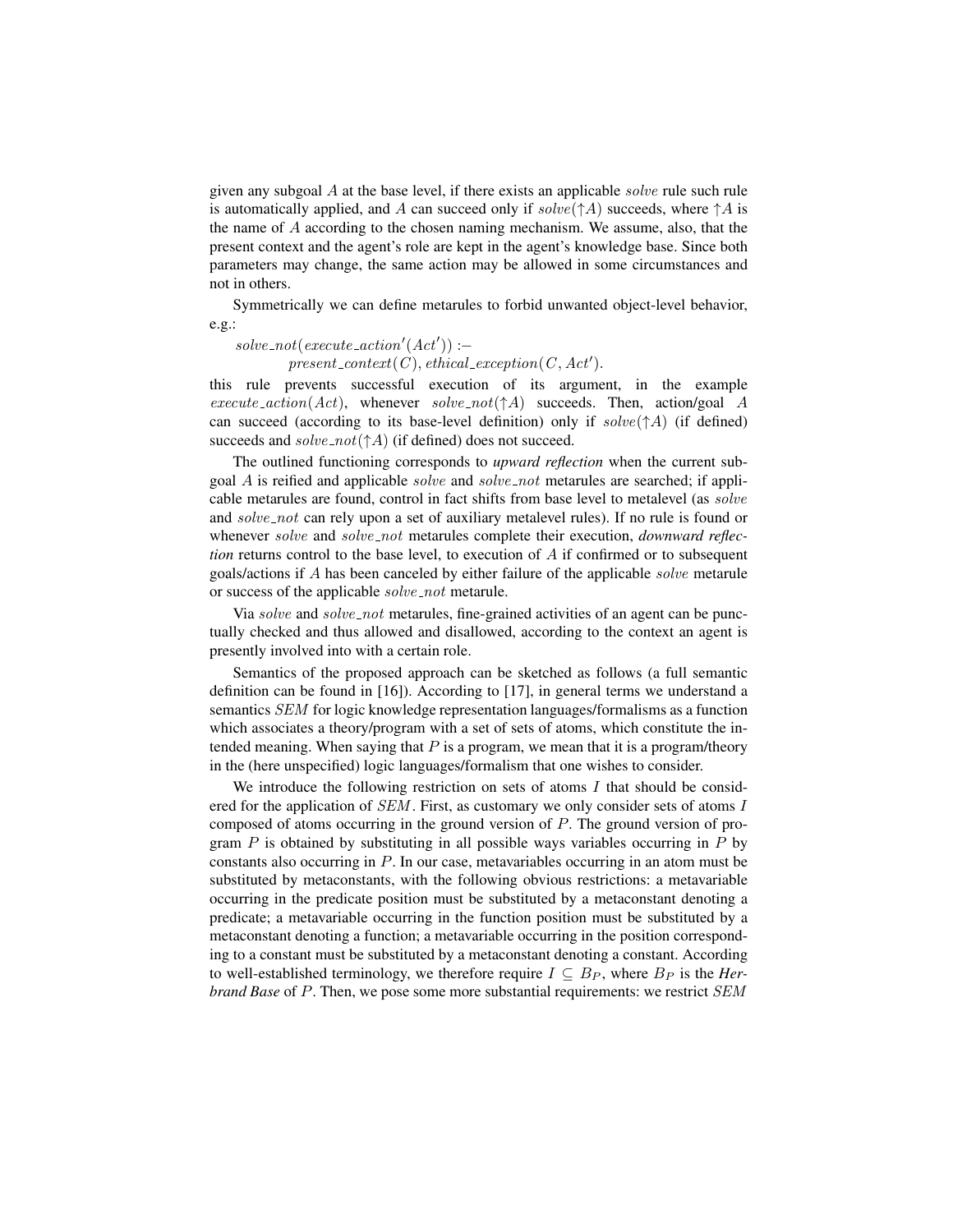given any subgoal  $A$  at the base level, if there exists an applicable *solve* rule such rule is automatically applied, and A can succeed only if  $solve(\uparrow A)$  succeeds, where  $\uparrow A$  is the name of A according to the chosen naming mechanism. We assume, also, that the present context and the agent's role are kept in the agent's knowledge base. Since both parameters may change, the same action may be allowed in some circumstances and not in others.

Symmetrically we can define metarules to forbid unwanted object-level behavior, e.g.:

 $solve\_not(execute\_action'(Act')) :=$  $present\_context(C), ethical\_exception(C, Act').$ 

this rule prevents successful execution of its argument, in the example  $execute\_action(Act),$  whenever  $solve\_not(\uparrow A)$  succeeds. Then, action/goal A can succeed (according to its base-level definition) only if  $solve(\uparrow A)$  (if defined) succeeds and  $solve\_not(\uparrow A)$  (if defined) does not succeed.

The outlined functioning corresponds to *upward reflection* when the current subgoal  $\vec{A}$  is reified and applicable *solve* and *solve\_not* metarules are searched; if applicable metarules are found, control in fact shifts from base level to metalevel (as solve and solve not can rely upon a set of auxiliary metalevel rules). If no rule is found or whenever solve and solve not metarules complete their execution, *downward reflection* returns control to the base level, to execution of A if confirmed or to subsequent goals/actions if A has been canceled by either failure of the applicable solve metarule or success of the applicable solve\_not metarule.

Via solve and solve\_not metarules, fine-grained activities of an agent can be punctually checked and thus allowed and disallowed, according to the context an agent is presently involved into with a certain role.

Semantics of the proposed approach can be sketched as follows (a full semantic definition can be found in [16]). According to [17], in general terms we understand a semantics SEM for logic knowledge representation languages/formalisms as a function which associates a theory/program with a set of sets of atoms, which constitute the intended meaning. When saying that  $P$  is a program, we mean that it is a program/theory in the (here unspecified) logic languages/formalism that one wishes to consider.

We introduce the following restriction on sets of atoms  $I$  that should be considered for the application of *SEM*. First, as customary we only consider sets of atoms I composed of atoms occurring in the ground version of P. The ground version of program  $P$  is obtained by substituting in all possible ways variables occurring in  $P$  by constants also occurring in P. In our case, metavariables occurring in an atom must be substituted by metaconstants, with the following obvious restrictions: a metavariable occurring in the predicate position must be substituted by a metaconstant denoting a predicate; a metavariable occurring in the function position must be substituted by a metaconstant denoting a function; a metavariable occurring in the position corresponding to a constant must be substituted by a metaconstant denoting a constant. According to well-established terminology, we therefore require  $I \subseteq B_P$ , where  $B_P$  is the *Herbrand Base* of P. Then, we pose some more substantial requirements: we restrict SEM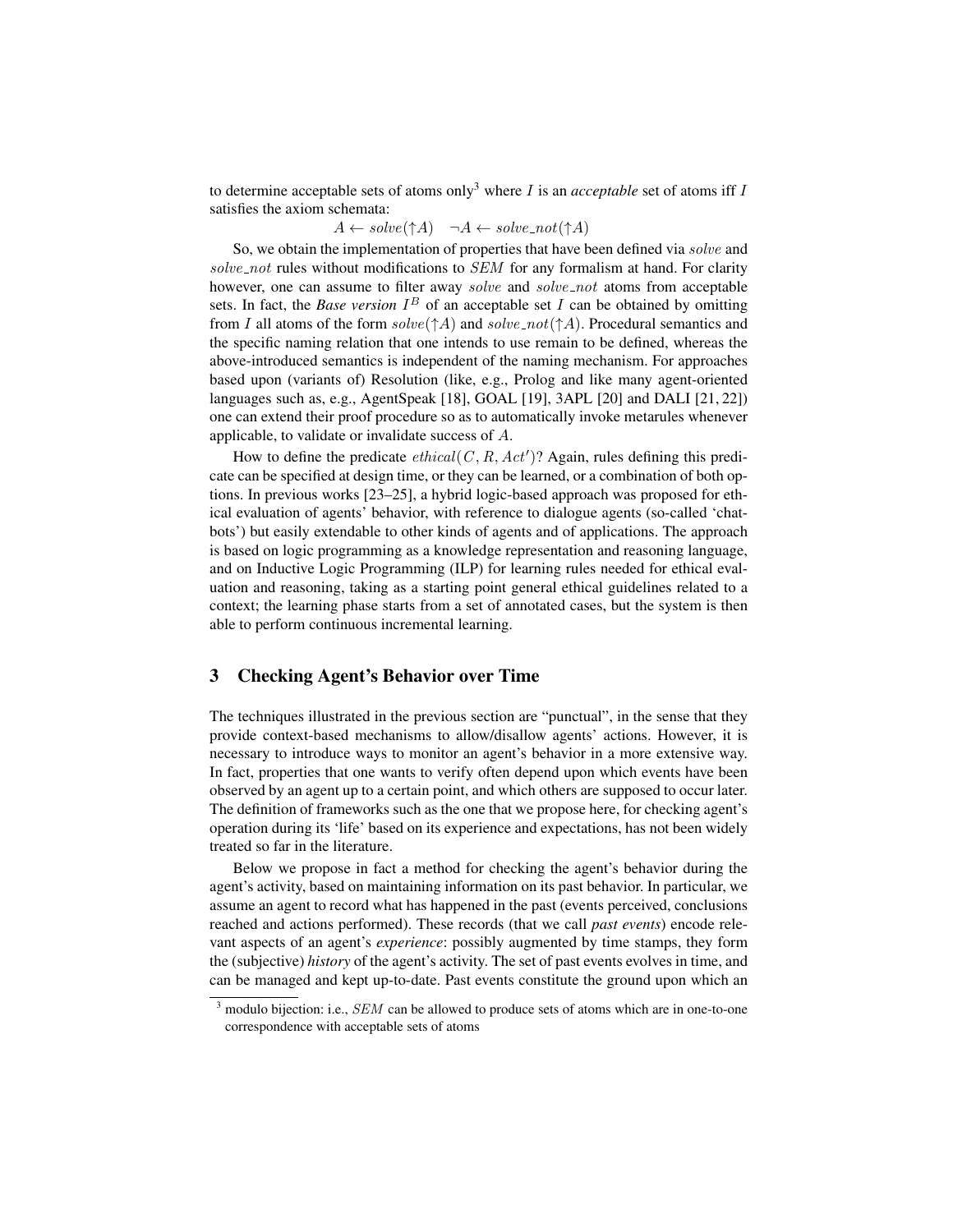to determine acceptable sets of atoms only<sup>3</sup> where  $I$  is an *acceptable* set of atoms iff  $I$ satisfies the axiom schemata:

 $A \leftarrow solve(\uparrow A) \quad \neg A \leftarrow solve\_not(\uparrow A)$ 

So, we obtain the implementation of properties that have been defined via solve and solve not rules without modifications to  $SEM$  for any formalism at hand. For clarity however, one can assume to filter away *solve* and *solve\_not* atoms from acceptable sets. In fact, the *Base version*  $I^B$  of an acceptable set  $I$  can be obtained by omitting from I all atoms of the form  $solve(\uparrow A)$  and  $solve\_not(\uparrow A)$ . Procedural semantics and the specific naming relation that one intends to use remain to be defined, whereas the above-introduced semantics is independent of the naming mechanism. For approaches based upon (variants of) Resolution (like, e.g., Prolog and like many agent-oriented languages such as, e.g., AgentSpeak [18], GOAL [19], 3APL [20] and DALI [21, 22]) one can extend their proof procedure so as to automatically invoke metarules whenever applicable, to validate or invalidate success of A.

How to define the predicate  $ethical(C, R, Act')$ ? Again, rules defining this predicate can be specified at design time, or they can be learned, or a combination of both options. In previous works [23–25], a hybrid logic-based approach was proposed for ethical evaluation of agents' behavior, with reference to dialogue agents (so-called 'chatbots') but easily extendable to other kinds of agents and of applications. The approach is based on logic programming as a knowledge representation and reasoning language, and on Inductive Logic Programming (ILP) for learning rules needed for ethical evaluation and reasoning, taking as a starting point general ethical guidelines related to a context; the learning phase starts from a set of annotated cases, but the system is then able to perform continuous incremental learning.

# 3 Checking Agent's Behavior over Time

The techniques illustrated in the previous section are "punctual", in the sense that they provide context-based mechanisms to allow/disallow agents' actions. However, it is necessary to introduce ways to monitor an agent's behavior in a more extensive way. In fact, properties that one wants to verify often depend upon which events have been observed by an agent up to a certain point, and which others are supposed to occur later. The definition of frameworks such as the one that we propose here, for checking agent's operation during its 'life' based on its experience and expectations, has not been widely treated so far in the literature.

Below we propose in fact a method for checking the agent's behavior during the agent's activity, based on maintaining information on its past behavior. In particular, we assume an agent to record what has happened in the past (events perceived, conclusions reached and actions performed). These records (that we call *past events*) encode relevant aspects of an agent's *experience*: possibly augmented by time stamps, they form the (subjective) *history* of the agent's activity. The set of past events evolves in time, and can be managed and kept up-to-date. Past events constitute the ground upon which an

 $3$  modulo bijection: i.e., *SEM* can be allowed to produce sets of atoms which are in one-to-one correspondence with acceptable sets of atoms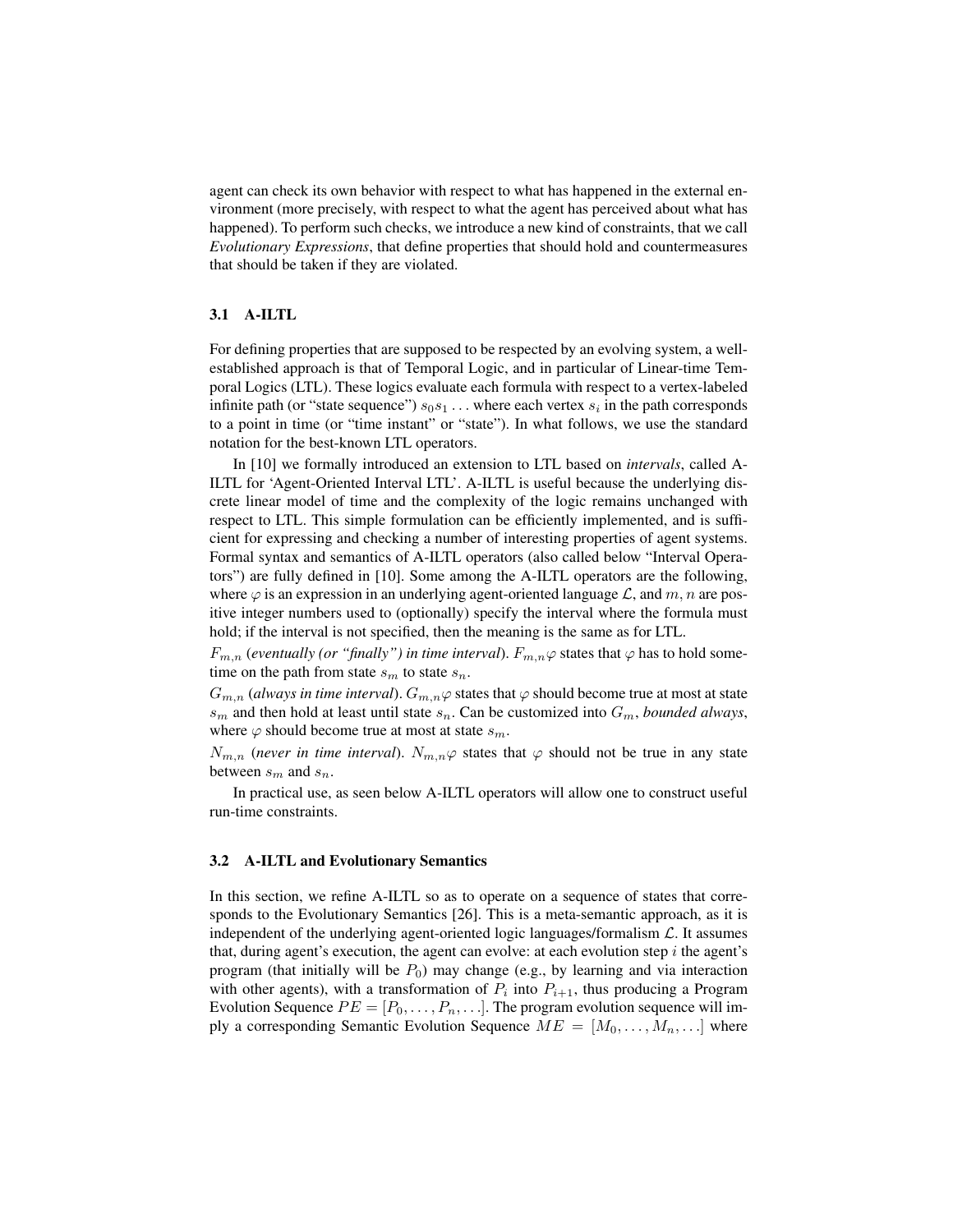agent can check its own behavior with respect to what has happened in the external environment (more precisely, with respect to what the agent has perceived about what has happened). To perform such checks, we introduce a new kind of constraints, that we call *Evolutionary Expressions*, that define properties that should hold and countermeasures that should be taken if they are violated.

#### 3.1 A-ILTL

For defining properties that are supposed to be respected by an evolving system, a wellestablished approach is that of Temporal Logic, and in particular of Linear-time Temporal Logics (LTL). These logics evaluate each formula with respect to a vertex-labeled infinite path (or "state sequence")  $s_0s_1 \ldots$  where each vertex  $s_i$  in the path corresponds to a point in time (or "time instant" or "state"). In what follows, we use the standard notation for the best-known LTL operators.

In [10] we formally introduced an extension to LTL based on *intervals*, called A-ILTL for 'Agent-Oriented Interval LTL'. A-ILTL is useful because the underlying discrete linear model of time and the complexity of the logic remains unchanged with respect to LTL. This simple formulation can be efficiently implemented, and is sufficient for expressing and checking a number of interesting properties of agent systems. Formal syntax and semantics of A-ILTL operators (also called below "Interval Operators") are fully defined in [10]. Some among the A-ILTL operators are the following, where  $\varphi$  is an expression in an underlying agent-oriented language  $\mathcal{L}$ , and  $m, n$  are positive integer numbers used to (optionally) specify the interval where the formula must hold; if the interval is not specified, then the meaning is the same as for LTL.

 $F_{m,n}$  (*eventually (or "finally") in time interval*).  $F_{m,n}\varphi$  states that  $\varphi$  has to hold sometime on the path from state  $s_m$  to state  $s_n$ .

 $G_{m,n}$  (always in time interval).  $G_{m,n}\varphi$  states that  $\varphi$  should become true at most at state  $s_m$  and then hold at least until state  $s_n$ . Can be customized into  $G_m$ , *bounded always*, where  $\varphi$  should become true at most at state  $s_m$ .

 $N_{m,n}$  (*never in time interval*).  $N_{m,n}\varphi$  states that  $\varphi$  should not be true in any state between  $s_m$  and  $s_n$ .

In practical use, as seen below A-ILTL operators will allow one to construct useful run-time constraints.

#### 3.2 A-ILTL and Evolutionary Semantics

In this section, we refine A-ILTL so as to operate on a sequence of states that corresponds to the Evolutionary Semantics [26]. This is a meta-semantic approach, as it is independent of the underlying agent-oriented logic languages/formalism  $\mathcal{L}$ . It assumes that, during agent's execution, the agent can evolve: at each evolution step  $i$  the agent's program (that initially will be  $P_0$ ) may change (e.g., by learning and via interaction with other agents), with a transformation of  $P_i$  into  $P_{i+1}$ , thus producing a Program Evolution Sequence  $PE = [P_0, \ldots, P_n, \ldots]$ . The program evolution sequence will imply a corresponding Semantic Evolution Sequence  $ME = [M_0, \ldots, M_n, \ldots]$  where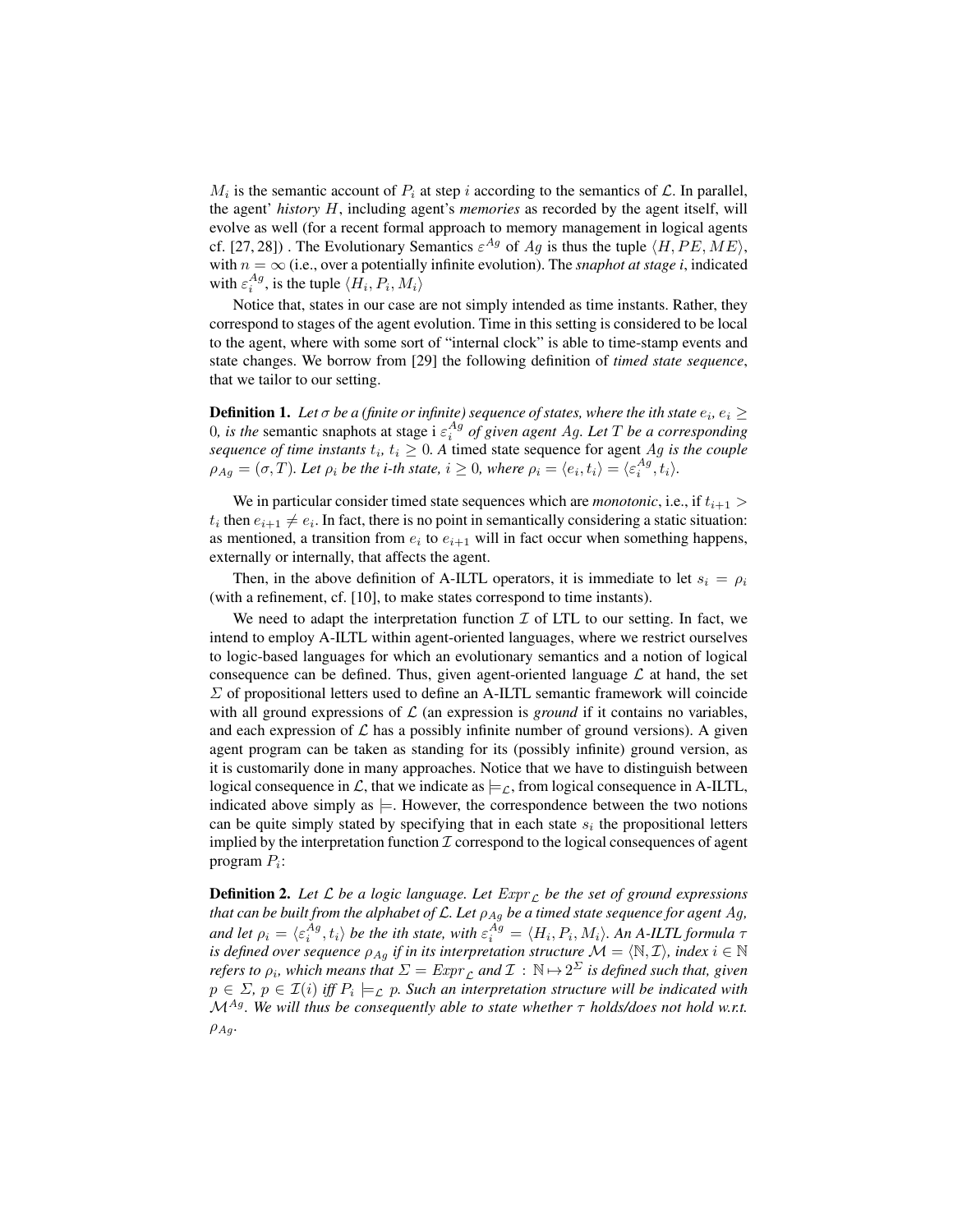$M_i$  is the semantic account of  $P_i$  at step i according to the semantics of  $\mathcal{L}$ . In parallel, the agent' *history* H, including agent's *memories* as recorded by the agent itself, will evolve as well (for a recent formal approach to memory management in logical agents cf. [27, 28]). The Evolutionary Semantics  $\varepsilon^{Ag}$  of  $Ag$  is thus the tuple  $\langle H, PE, ME \rangle$ , with  $n = \infty$  (i.e., over a potentially infinite evolution). The *snaphot at stage i*, indicated with  $\varepsilon_i^{Ag}$ , is the tuple  $\langle H_i, P_i, M_i \rangle$ 

Notice that, states in our case are not simply intended as time instants. Rather, they correspond to stages of the agent evolution. Time in this setting is considered to be local to the agent, where with some sort of "internal clock" is able to time-stamp events and state changes. We borrow from [29] the following definition of *timed state sequence*, that we tailor to our setting.

**Definition 1.** Let  $\sigma$  be a (finite or infinite) sequence of states, where the ith state  $e_i, e_i \geq 0$ 0, *is the* semantic snaphots at stage i  $\varepsilon_i^{Ag}$  of given agent Ag. Let T be a corresponding *sequence of time instants*  $t_i$ ,  $t_i \geq 0$ . A timed state sequence for agent Ag is the couple  $\rho_{Ag} = (\sigma, T)$ *. Let*  $\rho_i$  *be the i-th state,*  $i \geq 0$ *, where*  $\rho_i = \langle e_i, t_i \rangle = \langle \varepsilon_i^{Ag}, t_i \rangle$ *.* 

We in particular consider timed state sequences which are *monotonic*, i.e., if  $t_{i+1}$  >  $t_i$  then  $e_{i+1} \neq e_i$ . In fact, there is no point in semantically considering a static situation: as mentioned, a transition from  $e_i$  to  $e_{i+1}$  will in fact occur when something happens, externally or internally, that affects the agent.

Then, in the above definition of A-ILTL operators, it is immediate to let  $s_i = \rho_i$ (with a refinement, cf. [10], to make states correspond to time instants).

We need to adapt the interpretation function  $\mathcal I$  of LTL to our setting. In fact, we intend to employ A-ILTL within agent-oriented languages, where we restrict ourselves to logic-based languages for which an evolutionary semantics and a notion of logical consequence can be defined. Thus, given agent-oriented language  $\mathcal L$  at hand, the set  $\Sigma$  of propositional letters used to define an A-ILTL semantic framework will coincide with all ground expressions of  $\mathcal L$  (an expression is *ground* if it contains no variables, and each expression of  $\mathcal L$  has a possibly infinite number of ground versions). A given agent program can be taken as standing for its (possibly infinite) ground version, as it is customarily done in many approaches. Notice that we have to distinguish between logical consequence in  $\mathcal{L}$ , that we indicate as  $\models_{\mathcal{L}}$ , from logical consequence in A-ILTL, indicated above simply as  $\models$ . However, the correspondence between the two notions can be quite simply stated by specifying that in each state  $s_i$  the propositional letters implied by the interpretation function  $\mathcal I$  correspond to the logical consequences of agent program  $P_i$ :

**Definition 2.** Let  $\mathcal L$  be a logic language. Let  $Expr<sub>\mathcal L</sub>$  be the set of ground expressions *that can be built from the alphabet of*  $\mathcal{L}$ *. Let*  $\rho_{Ag}$  *be a timed state sequence for agent Ag,* and let  $\rho_i = \langle \varepsilon_i^{Ag}, t_i \rangle$  be the ith state, with  $\varepsilon_i^{Ag} = \langle H_i, P_i, M_i \rangle$ . An A-ILTL formula  $\tau$ *is defined over sequence*  $\rho_{Ag}$  *if in its interpretation structure*  $\mathcal{M} = \langle \mathbb{N}, \mathcal{I} \rangle$ *, index*  $i \in \mathbb{N}$ *refers to*  $\rho_i$ , which means that  $\Sigma = \mathit{Expr}_\mathcal{L}$  and  $\mathcal{I}: \mathbb{N} \mapsto 2^\Sigma$  is defined such that, given  $p \in \Sigma$ ,  $p \in \mathcal{I}(i)$  iff  $P_i \models_{\mathcal{L}} p$ . Such an interpretation structure will be indicated with  $\mathcal{M}^{Ag}$ *. We will thus be consequently able to state whether*  $\tau$  *holds/does not hold w.r.t.*  $\rho_{Aq}$ .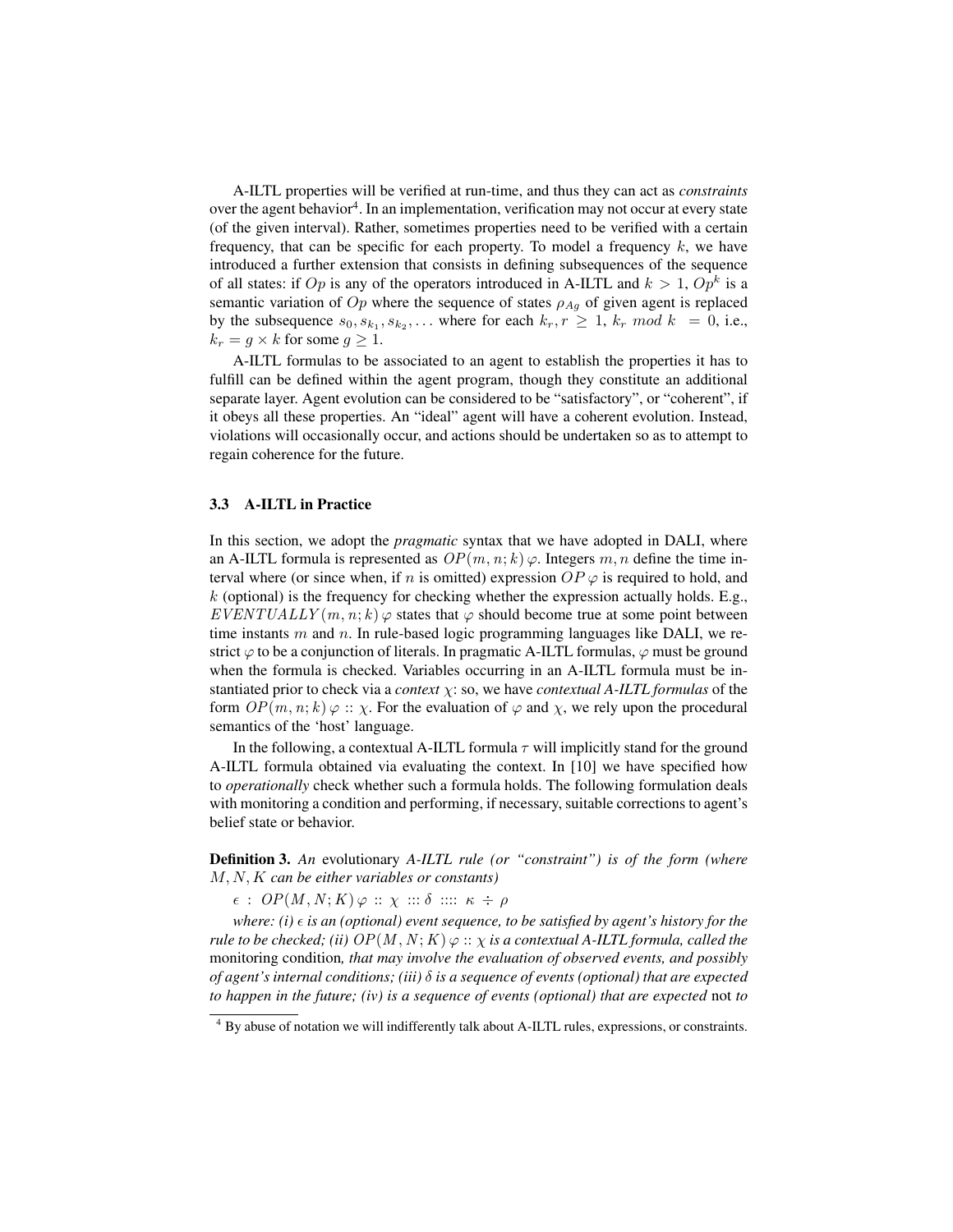A-ILTL properties will be verified at run-time, and thus they can act as *constraints* over the agent behavior<sup>4</sup>. In an implementation, verification may not occur at every state (of the given interval). Rather, sometimes properties need to be verified with a certain frequency, that can be specific for each property. To model a frequency  $k$ , we have introduced a further extension that consists in defining subsequences of the sequence of all states: if  $Op$  is any of the operators introduced in A-ILTL and  $k > 1$ ,  $Op<sup>k</sup>$  is a semantic variation of  $Op$  where the sequence of states  $\rho_{Aq}$  of given agent is replaced by the subsequence  $s_0, s_{k_1}, s_{k_2}, \ldots$  where for each  $k_r, r \geq 1$ ,  $k_r \mod k = 0$ , i.e.,  $k_r = g \times k$  for some  $g \geq 1$ .

A-ILTL formulas to be associated to an agent to establish the properties it has to fulfill can be defined within the agent program, though they constitute an additional separate layer. Agent evolution can be considered to be "satisfactory", or "coherent", if it obeys all these properties. An "ideal" agent will have a coherent evolution. Instead, violations will occasionally occur, and actions should be undertaken so as to attempt to regain coherence for the future.

#### 3.3 A-ILTL in Practice

In this section, we adopt the *pragmatic* syntax that we have adopted in DALI, where an A-ILTL formula is represented as  $OP(m, n; k)$   $\varphi$ . Integers m, n define the time interval where (or since when, if n is omitted) expression  $OP \varphi$  is required to hold, and  $k$  (optional) is the frequency for checking whether the expression actually holds. E.g.,  $EVENTUALLY(m, n; k) \varphi$  states that  $\varphi$  should become true at some point between time instants  $m$  and  $n$ . In rule-based logic programming languages like DALI, we restrict  $\varphi$  to be a conjunction of literals. In pragmatic A-ILTL formulas,  $\varphi$  must be ground when the formula is checked. Variables occurring in an A-ILTL formula must be instantiated prior to check via a *context* χ: so, we have *contextual A-ILTL formulas* of the form  $OP(m, n; k) \varphi :: \chi$ . For the evaluation of  $\varphi$  and  $\chi$ , we rely upon the procedural semantics of the 'host' language.

In the following, a contextual A-ILTL formula  $\tau$  will implicitly stand for the ground A-ILTL formula obtained via evaluating the context. In [10] we have specified how to *operationally* check whether such a formula holds. The following formulation deals with monitoring a condition and performing, if necessary, suitable corrections to agent's belief state or behavior.

Definition 3. *An* evolutionary *A-ILTL rule (or "constraint") is of the form (where* M, N, K *can be either variables or constants)*

 $\epsilon$ :  $OP(M, N; K) \varphi :: \chi :: \delta :: :: K \div \rho$ 

*where: (i)*  $\epsilon$  *is an (optional) event sequence, to be satisfied by agent's history for the rule to be checked; (ii)*  $OP(M, N; K) \varphi :: \chi$  *is a contextual A-ILTL formula, called the* monitoring condition*, that may involve the evaluation of observed events, and possibly of agent's internal conditions; (iii)* δ *is a sequence of events (optional) that are expected to happen in the future; (iv) is a sequence of events (optional) that are expected* not *to*

<sup>&</sup>lt;sup>4</sup> By abuse of notation we will indifferently talk about A-ILTL rules, expressions, or constraints.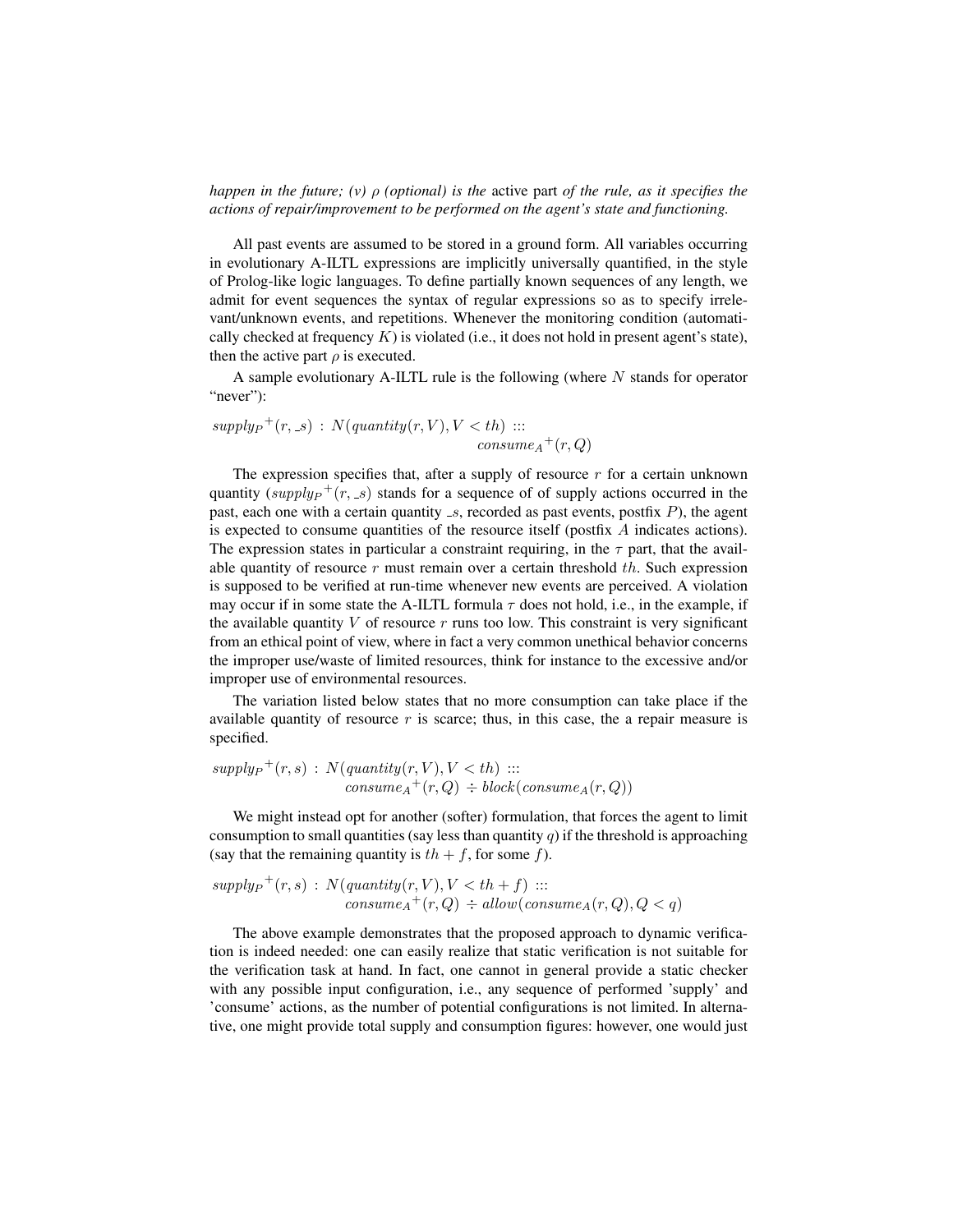*happen in the future; (v)* ρ *(optional) is the* active part *of the rule, as it specifies the actions of repair/improvement to be performed on the agent's state and functioning.*

All past events are assumed to be stored in a ground form. All variables occurring in evolutionary A-ILTL expressions are implicitly universally quantified, in the style of Prolog-like logic languages. To define partially known sequences of any length, we admit for event sequences the syntax of regular expressions so as to specify irrelevant/unknown events, and repetitions. Whenever the monitoring condition (automatically checked at frequency  $K$ ) is violated (i.e., it does not hold in present agent's state), then the active part  $\rho$  is executed.

A sample evolutionary A-ILTL rule is the following (where  $N$  stands for operator "never"):

 $supply_P^+(r, s) : N(quantity(r, V), V < th) ::$  $\mathit{cosume}_A{}^+(r,Q)$ 

The expression specifies that, after a supply of resource  $r$  for a certain unknown quantity  $(supply_P<sup>+</sup>(r, s)$  stands for a sequence of of supply actions occurred in the past, each one with a certain quantity  $\mathscr{A}$ , recorded as past events, postfix  $P$ ), the agent is expected to consume quantities of the resource itself (postfix A indicates actions). The expression states in particular a constraint requiring, in the  $\tau$  part, that the available quantity of resource  $r$  must remain over a certain threshold  $th$ . Such expression is supposed to be verified at run-time whenever new events are perceived. A violation may occur if in some state the A-ILTL formula  $\tau$  does not hold, i.e., in the example, if the available quantity  $V$  of resource  $r$  runs too low. This constraint is very significant from an ethical point of view, where in fact a very common unethical behavior concerns the improper use/waste of limited resources, think for instance to the excessive and/or improper use of environmental resources.

The variation listed below states that no more consumption can take place if the available quantity of resource  $r$  is scarce; thus, in this case, the a repair measure is specified.

$$
supply_{P}^{+}(r,s) : N(quantity(r, V), V < th) :::\n
$$
cosume_{A}^{+}(r, Q) \div block(cosume_{A}(r, Q))
$$
$$

We might instead opt for another (softer) formulation, that forces the agent to limit consumption to small quantities (say less than quantity q) if the threshold is approaching (say that the remaining quantity is  $th + f$ , for some f).

$$
supply_{P}^{+}(r, s) : N(quantity(r, V), V < th + f) :::cosume_{A}^{+}(r, Q) \div allow(cosume_{A}(r, Q), Q < q)
$$

The above example demonstrates that the proposed approach to dynamic verification is indeed needed: one can easily realize that static verification is not suitable for the verification task at hand. In fact, one cannot in general provide a static checker with any possible input configuration, i.e., any sequence of performed 'supply' and 'consume' actions, as the number of potential configurations is not limited. In alternative, one might provide total supply and consumption figures: however, one would just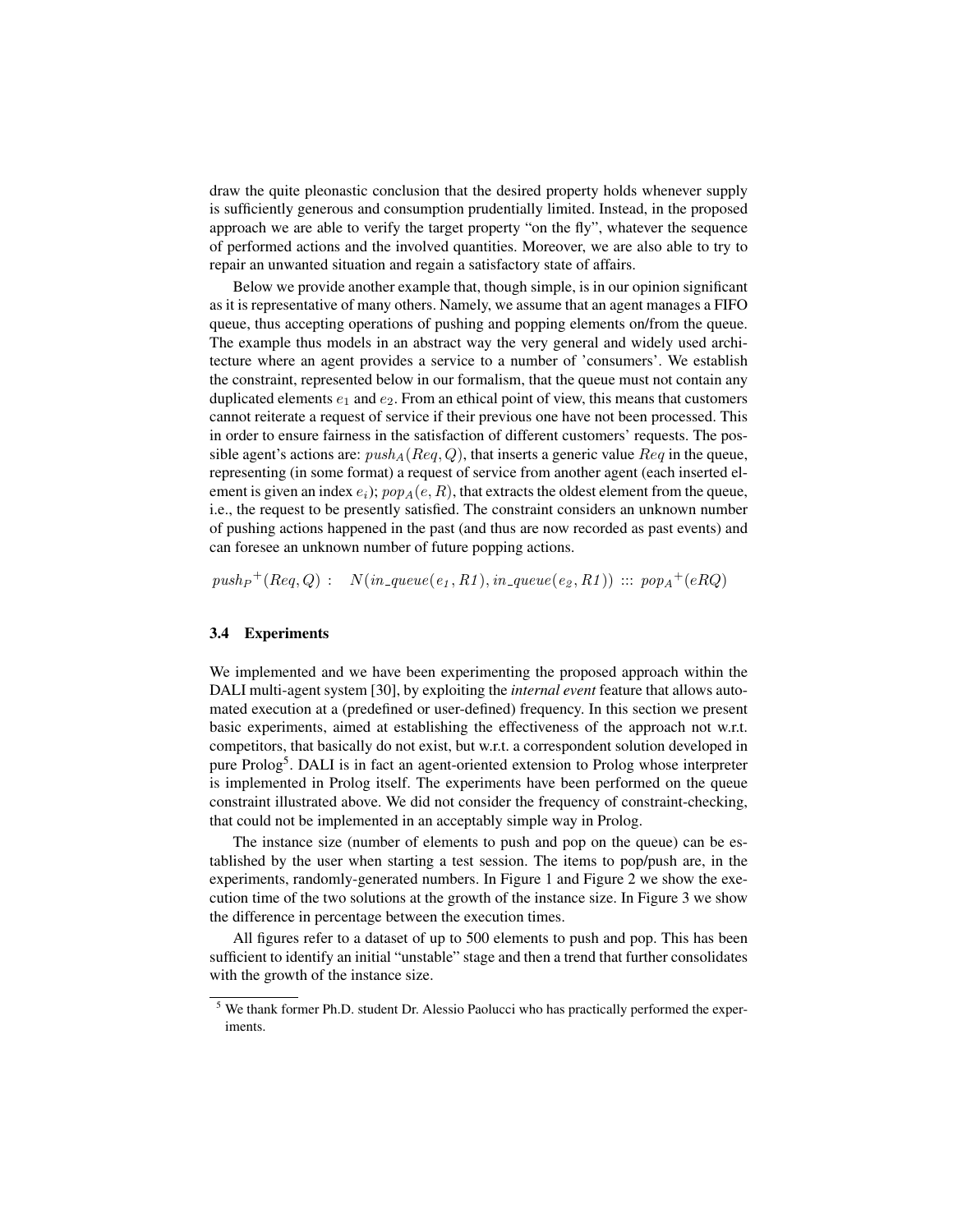draw the quite pleonastic conclusion that the desired property holds whenever supply is sufficiently generous and consumption prudentially limited. Instead, in the proposed approach we are able to verify the target property "on the fly", whatever the sequence of performed actions and the involved quantities. Moreover, we are also able to try to repair an unwanted situation and regain a satisfactory state of affairs.

Below we provide another example that, though simple, is in our opinion significant as it is representative of many others. Namely, we assume that an agent manages a FIFO queue, thus accepting operations of pushing and popping elements on/from the queue. The example thus models in an abstract way the very general and widely used architecture where an agent provides a service to a number of 'consumers'. We establish the constraint, represented below in our formalism, that the queue must not contain any duplicated elements  $e_1$  and  $e_2$ . From an ethical point of view, this means that customers cannot reiterate a request of service if their previous one have not been processed. This in order to ensure fairness in the satisfaction of different customers' requests. The possible agent's actions are:  $push_A(Reg, Q)$ , that inserts a generic value  $Req$  in the queue, representing (in some format) a request of service from another agent (each inserted element is given an index  $e_i$ );  $pop_A(e, R)$ , that extracts the oldest element from the queue, i.e., the request to be presently satisfied. The constraint considers an unknown number of pushing actions happened in the past (and thus are now recorded as past events) and can foresee an unknown number of future popping actions.

 $push_P^+(Req, Q) : N(in\_queue(e_1, R1), in\_queue(e_2, R1)) :: pop_A^+(eRQ)$ 

## 3.4 Experiments

We implemented and we have been experimenting the proposed approach within the DALI multi-agent system [30], by exploiting the *internal event* feature that allows automated execution at a (predefined or user-defined) frequency. In this section we present basic experiments, aimed at establishing the effectiveness of the approach not w.r.t. competitors, that basically do not exist, but w.r.t. a correspondent solution developed in pure Prolog<sup>5</sup>. DALI is in fact an agent-oriented extension to Prolog whose interpreter is implemented in Prolog itself. The experiments have been performed on the queue constraint illustrated above. We did not consider the frequency of constraint-checking, that could not be implemented in an acceptably simple way in Prolog.

The instance size (number of elements to push and pop on the queue) can be established by the user when starting a test session. The items to pop/push are, in the experiments, randomly-generated numbers. In Figure 1 and Figure 2 we show the execution time of the two solutions at the growth of the instance size. In Figure 3 we show the difference in percentage between the execution times.

All figures refer to a dataset of up to 500 elements to push and pop. This has been sufficient to identify an initial "unstable" stage and then a trend that further consolidates with the growth of the instance size.

<sup>&</sup>lt;sup>5</sup> We thank former Ph.D. student Dr. Alessio Paolucci who has practically performed the experiments.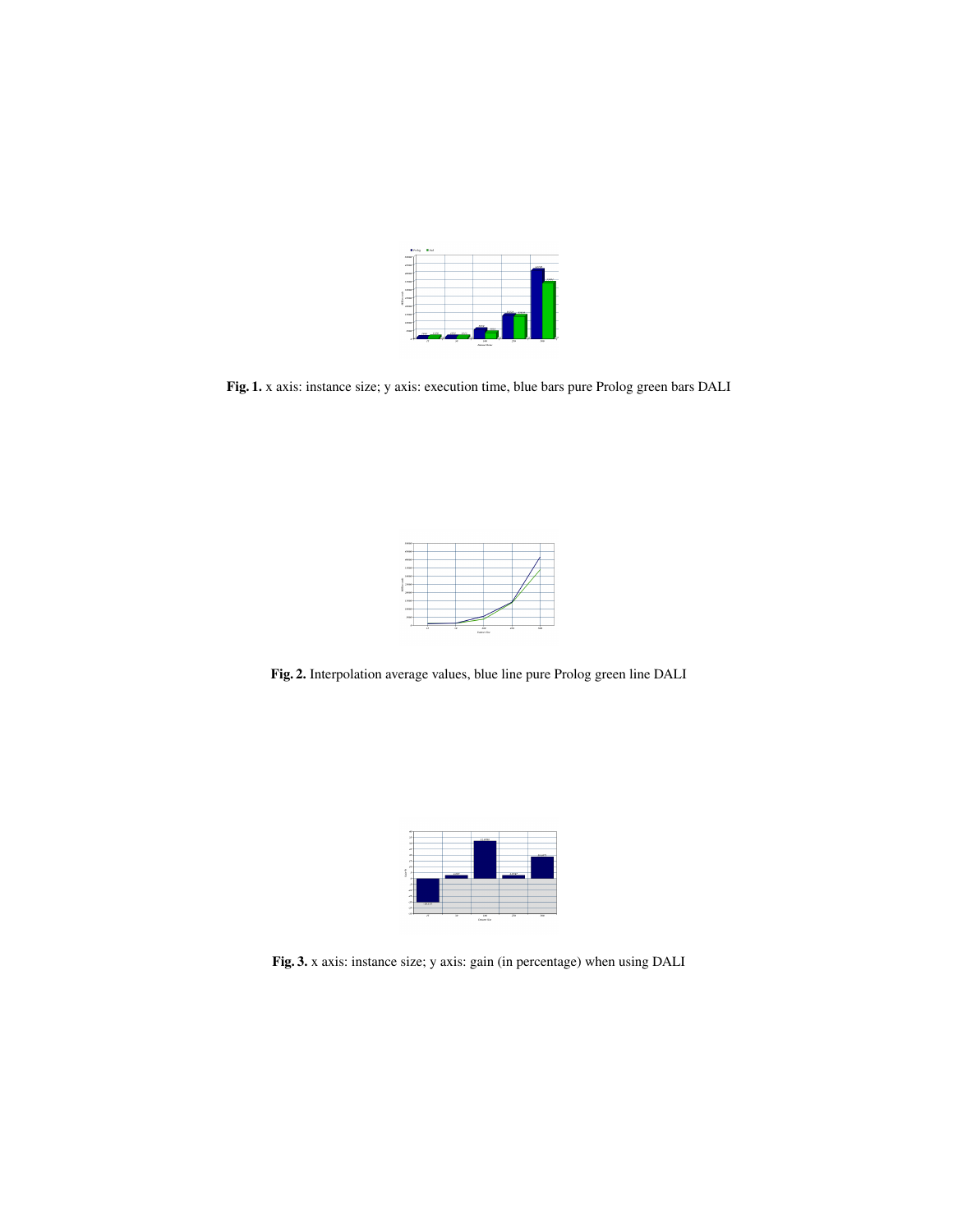|   | recent |                        |                |        |                |         |
|---|--------|------------------------|----------------|--------|----------------|---------|
|   | 43090  |                        |                |        |                | 43729   |
|   | vener  |                        |                |        |                | ببيبينا |
|   | 12090  |                        |                |        |                |         |
|   | 78090  |                        |                |        |                |         |
| š | 2020   |                        |                |        |                |         |
|   | 26090  |                        |                |        | <b>COM THE</b> |         |
|   | 15090  |                        |                |        |                |         |
|   | reas   |                        |                | asse   |                |         |
|   | Sind   | $-1258$<br><b>ARAY</b> | 3351 3332      | $-101$ |                |         |
|   |        | $\overline{B}$         | $\overline{1}$ | 370    | 154            | 556     |

Fig. 1. x axis: instance size; y axis: execution time, blue bars pure Prolog green bars DALI



Fig. 2. Interpolation average values, blue line pure Prolog green line DALI



Fig. 3. x axis: instance size; y axis: gain (in percentage) when using DALI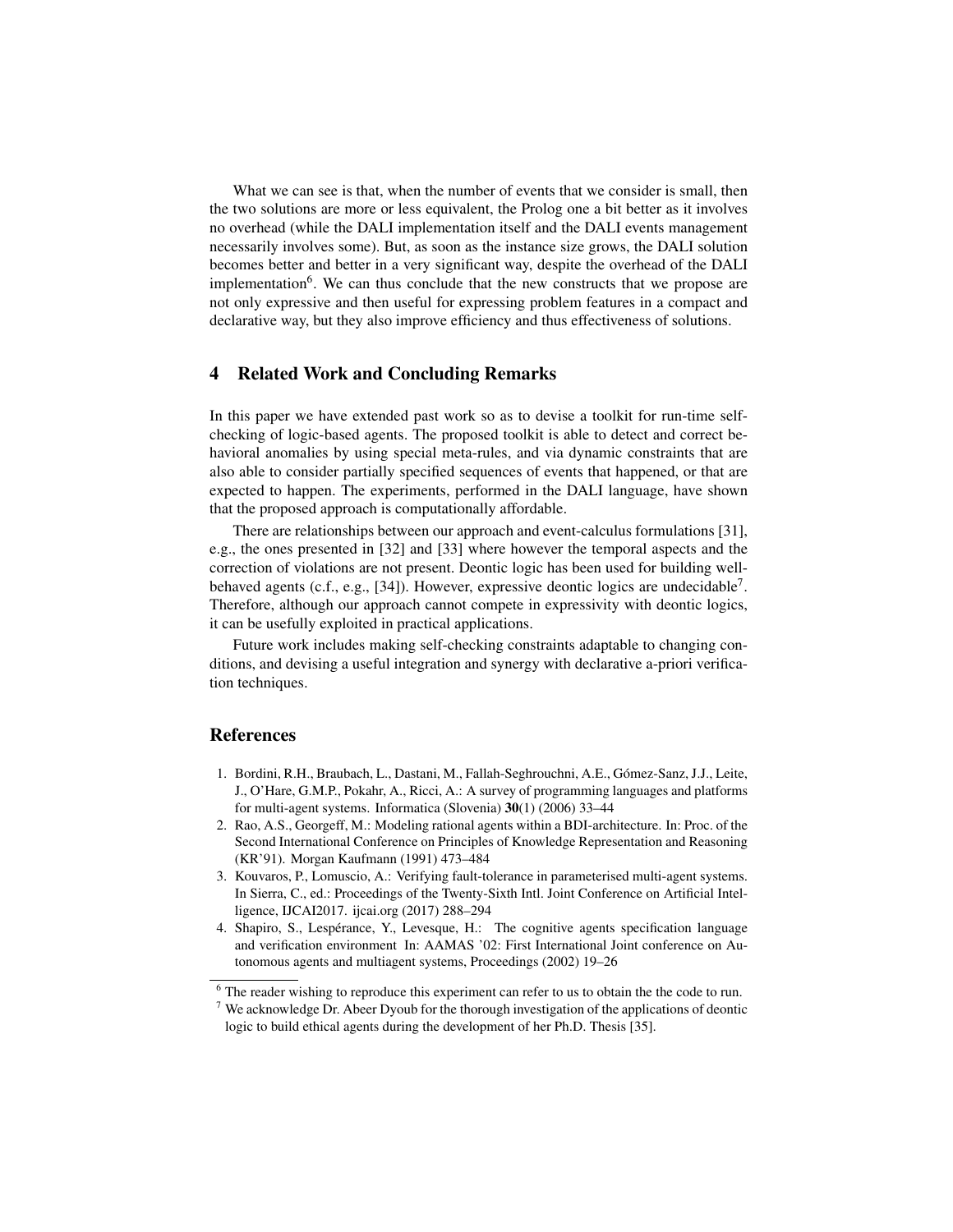What we can see is that, when the number of events that we consider is small, then the two solutions are more or less equivalent, the Prolog one a bit better as it involves no overhead (while the DALI implementation itself and the DALI events management necessarily involves some). But, as soon as the instance size grows, the DALI solution becomes better and better in a very significant way, despite the overhead of the DALI implementation<sup>6</sup>. We can thus conclude that the new constructs that we propose are not only expressive and then useful for expressing problem features in a compact and declarative way, but they also improve efficiency and thus effectiveness of solutions.

# 4 Related Work and Concluding Remarks

In this paper we have extended past work so as to devise a toolkit for run-time selfchecking of logic-based agents. The proposed toolkit is able to detect and correct behavioral anomalies by using special meta-rules, and via dynamic constraints that are also able to consider partially specified sequences of events that happened, or that are expected to happen. The experiments, performed in the DALI language, have shown that the proposed approach is computationally affordable.

There are relationships between our approach and event-calculus formulations [31], e.g., the ones presented in [32] and [33] where however the temporal aspects and the correction of violations are not present. Deontic logic has been used for building wellbehaved agents (c.f., e.g., [34]). However, expressive deontic logics are undecidable<sup>7</sup>. Therefore, although our approach cannot compete in expressivity with deontic logics, it can be usefully exploited in practical applications.

Future work includes making self-checking constraints adaptable to changing conditions, and devising a useful integration and synergy with declarative a-priori verification techniques.

## **References**

- 1. Bordini, R.H., Braubach, L., Dastani, M., Fallah-Seghrouchni, A.E., Gómez-Sanz, J.J., Leite, J., O'Hare, G.M.P., Pokahr, A., Ricci, A.: A survey of programming languages and platforms for multi-agent systems. Informatica (Slovenia) 30(1) (2006) 33–44
- 2. Rao, A.S., Georgeff, M.: Modeling rational agents within a BDI-architecture. In: Proc. of the Second International Conference on Principles of Knowledge Representation and Reasoning (KR'91). Morgan Kaufmann (1991) 473–484
- 3. Kouvaros, P., Lomuscio, A.: Verifying fault-tolerance in parameterised multi-agent systems. In Sierra, C., ed.: Proceedings of the Twenty-Sixth Intl. Joint Conference on Artificial Intelligence, IJCAI2017. ijcai.org (2017) 288–294
- 4. Shapiro, S., Lespérance, Y., Levesque, H.: The cognitive agents specification language and verification environment In: AAMAS '02: First International Joint conference on Autonomous agents and multiagent systems, Proceedings (2002) 19–26

<sup>&</sup>lt;sup>6</sup> The reader wishing to reproduce this experiment can refer to us to obtain the the code to run.

 $7$  We acknowledge Dr. Abeer Dyoub for the thorough investigation of the applications of deontic logic to build ethical agents during the development of her Ph.D. Thesis [35].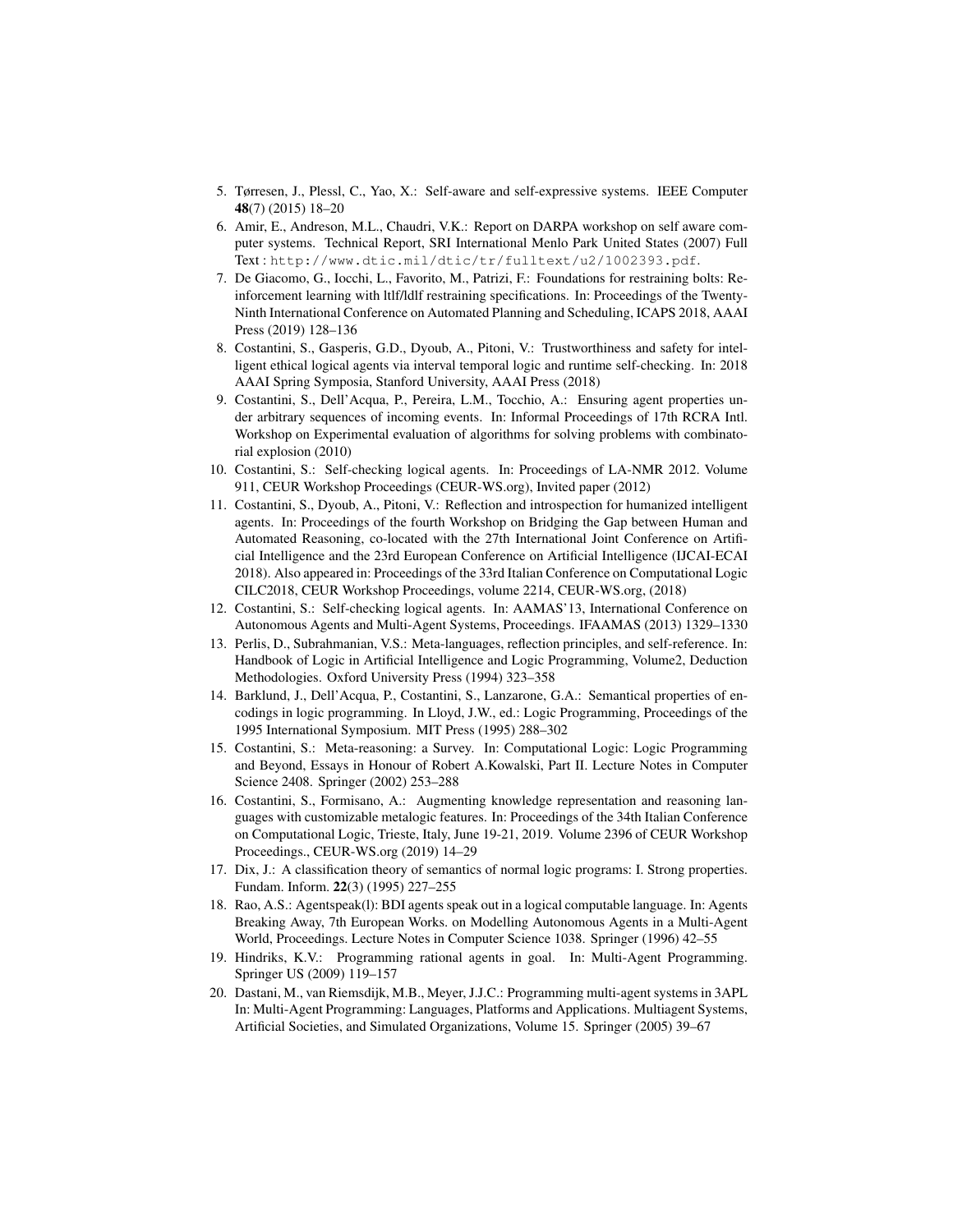- 5. Tørresen, J., Plessl, C., Yao, X.: Self-aware and self-expressive systems. IEEE Computer 48(7) (2015) 18–20
- 6. Amir, E., Andreson, M.L., Chaudri, V.K.: Report on DARPA workshop on self aware computer systems. Technical Report, SRI International Menlo Park United States (2007) Full Text : http://www.dtic.mil/dtic/tr/fulltext/u2/1002393.pdf.
- 7. De Giacomo, G., Iocchi, L., Favorito, M., Patrizi, F.: Foundations for restraining bolts: Reinforcement learning with ltlf/ldlf restraining specifications. In: Proceedings of the Twenty-Ninth International Conference on Automated Planning and Scheduling, ICAPS 2018, AAAI Press (2019) 128–136
- 8. Costantini, S., Gasperis, G.D., Dyoub, A., Pitoni, V.: Trustworthiness and safety for intelligent ethical logical agents via interval temporal logic and runtime self-checking. In: 2018 AAAI Spring Symposia, Stanford University, AAAI Press (2018)
- 9. Costantini, S., Dell'Acqua, P., Pereira, L.M., Tocchio, A.: Ensuring agent properties under arbitrary sequences of incoming events. In: Informal Proceedings of 17th RCRA Intl. Workshop on Experimental evaluation of algorithms for solving problems with combinatorial explosion (2010)
- 10. Costantini, S.: Self-checking logical agents. In: Proceedings of LA-NMR 2012. Volume 911, CEUR Workshop Proceedings (CEUR-WS.org), Invited paper (2012)
- 11. Costantini, S., Dyoub, A., Pitoni, V.: Reflection and introspection for humanized intelligent agents. In: Proceedings of the fourth Workshop on Bridging the Gap between Human and Automated Reasoning, co-located with the 27th International Joint Conference on Artificial Intelligence and the 23rd European Conference on Artificial Intelligence (IJCAI-ECAI 2018). Also appeared in: Proceedings of the 33rd Italian Conference on Computational Logic CILC2018, CEUR Workshop Proceedings, volume 2214, CEUR-WS.org, (2018)
- 12. Costantini, S.: Self-checking logical agents. In: AAMAS'13, International Conference on Autonomous Agents and Multi-Agent Systems, Proceedings. IFAAMAS (2013) 1329–1330
- 13. Perlis, D., Subrahmanian, V.S.: Meta-languages, reflection principles, and self-reference. In: Handbook of Logic in Artificial Intelligence and Logic Programming, Volume2, Deduction Methodologies. Oxford University Press (1994) 323–358
- 14. Barklund, J., Dell'Acqua, P., Costantini, S., Lanzarone, G.A.: Semantical properties of encodings in logic programming. In Lloyd, J.W., ed.: Logic Programming, Proceedings of the 1995 International Symposium. MIT Press (1995) 288–302
- 15. Costantini, S.: Meta-reasoning: a Survey. In: Computational Logic: Logic Programming and Beyond, Essays in Honour of Robert A.Kowalski, Part II. Lecture Notes in Computer Science 2408. Springer (2002) 253–288
- 16. Costantini, S., Formisano, A.: Augmenting knowledge representation and reasoning languages with customizable metalogic features. In: Proceedings of the 34th Italian Conference on Computational Logic, Trieste, Italy, June 19-21, 2019. Volume 2396 of CEUR Workshop Proceedings., CEUR-WS.org (2019) 14–29
- 17. Dix, J.: A classification theory of semantics of normal logic programs: I. Strong properties. Fundam. Inform. 22(3) (1995) 227–255
- 18. Rao, A.S.: Agentspeak(l): BDI agents speak out in a logical computable language. In: Agents Breaking Away, 7th European Works. on Modelling Autonomous Agents in a Multi-Agent World, Proceedings. Lecture Notes in Computer Science 1038. Springer (1996) 42–55
- 19. Hindriks, K.V.: Programming rational agents in goal. In: Multi-Agent Programming. Springer US (2009) 119–157
- 20. Dastani, M., van Riemsdijk, M.B., Meyer, J.J.C.: Programming multi-agent systems in 3APL In: Multi-Agent Programming: Languages, Platforms and Applications. Multiagent Systems, Artificial Societies, and Simulated Organizations, Volume 15. Springer (2005) 39–67